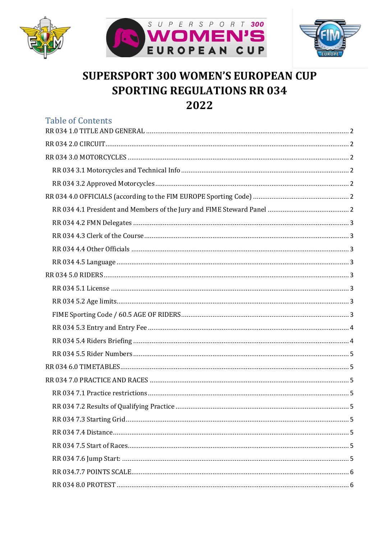





# **SUPERSPORT 300 WOMEN'S EUROPEAN CUP SPORTING REGULATIONS RR 034** 2022

| Table of Contents |  |
|-------------------|--|
|                   |  |
|                   |  |
|                   |  |
|                   |  |
|                   |  |
|                   |  |
|                   |  |
|                   |  |
|                   |  |
|                   |  |
|                   |  |
|                   |  |
|                   |  |
|                   |  |
|                   |  |
|                   |  |
|                   |  |
|                   |  |
|                   |  |
|                   |  |
|                   |  |
|                   |  |
|                   |  |
|                   |  |
|                   |  |
|                   |  |
|                   |  |
|                   |  |
|                   |  |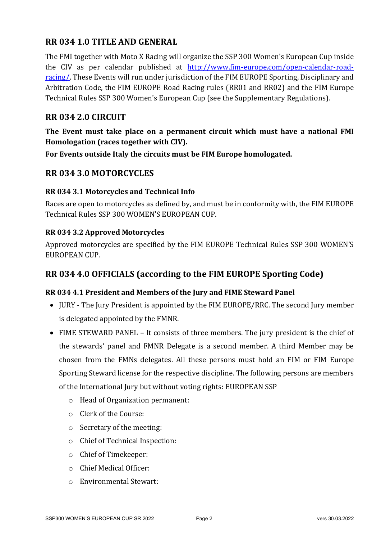# **RR 034 1.0 TITLE AND GENERAL**

The FMI together with Moto X Racing will organize the SSP 300 Women's European Cup inside the CIV as per calendar published at http://www.fim-europe.com/open-calendar-roadracing/. These Events will run under jurisdiction of the FIM EUROPE Sporting, Disciplinary and Arbitration Code, the FIM EUROPE Road Racing rules (RR01 and RR02) and the FIM Europe Technical Rules SSP 300 Women's European Cup (see the Supplementary Regulations).

# **RR 034 2.0 CIRCUIT**

**The Event must take place on a permanent circuit which must have a national FMI Homologation** (races together with CIV).

For Events outside Italy the circuits must be FIM Europe homologated.

# **RR 034 3.0 MOTORCYCLES**

### **RR 034 3.1 Motorcycles and Technical Info**

Races are open to motorcycles as defined by, and must be in conformity with, the FIM EUROPE Technical Rules SSP 300 WOMEN'S EUROPEAN CUP.

### **RR 034 3.2 Approved Motorcycles**

Approved motorcycles are specified by the FIM EUROPE Technical Rules SSP 300 WOMEN'S EUROPEAN CUP.

# RR 034 4.0 OFFICIALS (according to the FIM EUROPE Sporting Code)

### **RR 034 4.1 President and Members of the Jury and FIME Steward Panel**

- JURY The Jury President is appointed by the FIM EUROPE/RRC. The second Jury member is delegated appointed by the FMNR.
- FIME STEWARD PANEL It consists of three members. The jury president is the chief of the stewards' panel and FMNR Delegate is a second member. A third Member may be chosen from the FMNs delegates. All these persons must hold an FIM or FIM Europe Sporting Steward license for the respective discipline. The following persons are members of the International Jury but without voting rights: EUROPEAN SSP
	- o Head of Organization permanent:
	- $\circ$  Clerk of the Course:
	- $\circ$  Secretary of the meeting:
	- $\circ$  Chief of Technical Inspection:
	- o Chief of Timekeeper:
	- $\circ$  Chief Medical Officer:
	- $\circ$  Environmental Stewart: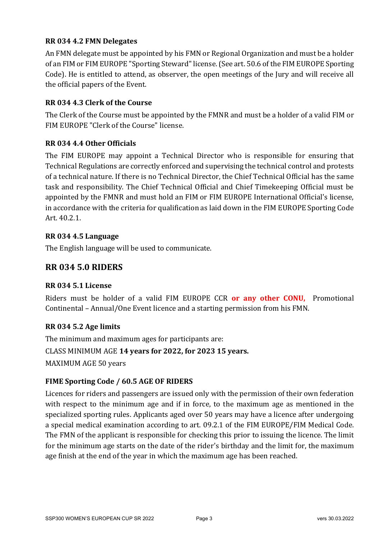#### **RR 034 4.2 FMN Delegates**

An FMN delegate must be appointed by his FMN or Regional Organization and must be a holder of an FIM or FIM EUROPE "Sporting Steward" license. (See art. 50.6 of the FIM EUROPE Sporting Code). He is entitled to attend, as observer, the open meetings of the Jury and will receive all the official papers of the Event.

### **RR 034 4.3 Clerk of the Course**

The Clerk of the Course must be appointed by the FMNR and must be a holder of a valid FIM or FIM EUROPE "Clerk of the Course" license.

### **RR 034 4.4 Other Officials**

The FIM EUROPE may appoint a Technical Director who is responsible for ensuring that Technical Regulations are correctly enforced and supervising the technical control and protests of a technical nature. If there is no Technical Director, the Chief Technical Official has the same task and responsibility. The Chief Technical Official and Chief Timekeeping Official must be appointed by the FMNR and must hold an FIM or FIM EUROPE International Official's license, in accordance with the criteria for qualification as laid down in the FIM EUROPE Sporting Code Art. 40.2.1.

#### **RR 034 4.5 Language**

The English language will be used to communicate.

# **RR 034 5.0 RIDERS**

### **RR 034 5.1 License**

Riders must be holder of a valid FIM EUROPE CCR or any other CONU, Promotional Continental - Annual/One Event licence and a starting permission from his FMN.

### **RR 034 5.2 Age limits**

The minimum and maximum ages for participants are: CLASS MINIMUM AGE **14 years for 2022, for 2023 15 years.** MAXIMUM AGE 50 years

### FIME Sporting Code / 60.5 AGE OF RIDERS

Licences for riders and passengers are issued only with the permission of their own federation with respect to the minimum age and if in force, to the maximum age as mentioned in the specialized sporting rules. Applicants aged over 50 years may have a licence after undergoing a special medical examination according to art. 09.2.1 of the FIM EUROPE/FIM Medical Code. The FMN of the applicant is responsible for checking this prior to issuing the licence. The limit for the minimum age starts on the date of the rider's birthday and the limit for, the maximum age finish at the end of the year in which the maximum age has been reached.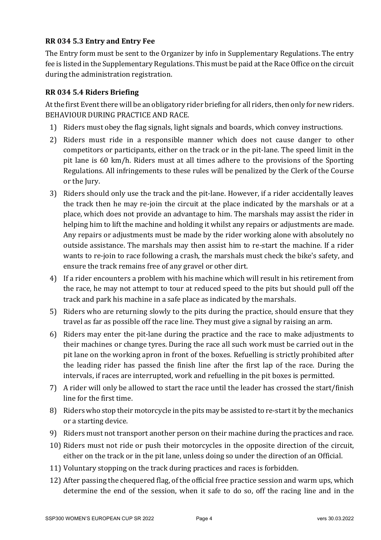## **RR 034 5.3 Entry and Entry Fee**

The Entry form must be sent to the Organizer by info in Supplementary Regulations. The entry fee is listed in the Supplementary Regulations. This must be paid at the Race Office on the circuit during the administration registration.

## **RR 034 5.4 Riders Briefing**

At the first Event there will be an obligatory rider briefing for all riders, then only for new riders. BEHAVIOUR DURING PRACTICE AND RACE.

- 1) Riders must obey the flag signals, light signals and boards, which convey instructions.
- 2) Riders must ride in a responsible manner which does not cause danger to other competitors or participants, either on the track or in the pit-lane. The speed limit in the pit lane is 60 km/h. Riders must at all times adhere to the provisions of the Sporting Regulations. All infringements to these rules will be penalized by the Clerk of the Course or the Jury.
- 3) Riders should only use the track and the pit-lane. However, if a rider accidentally leaves the track then he may re-join the circuit at the place indicated by the marshals or at a place, which does not provide an advantage to him. The marshals may assist the rider in helping him to lift the machine and holding it whilst any repairs or adjustments are made. Any repairs or adjustments must be made by the rider working alone with absolutely no outside assistance. The marshals may then assist him to re-start the machine. If a rider wants to re-join to race following a crash, the marshals must check the bike's safety, and ensure the track remains free of any gravel or other dirt.
- 4) If a rider encounters a problem with his machine which will result in his retirement from the race, he may not attempt to tour at reduced speed to the pits but should pull off the track and park his machine in a safe place as indicated by the marshals.
- 5) Riders who are returning slowly to the pits during the practice, should ensure that they travel as far as possible off the race line. They must give a signal by raising an arm.
- 6) Riders may enter the pit-lane during the practice and the race to make adjustments to their machines or change tyres. During the race all such work must be carried out in the pit lane on the working apron in front of the boxes. Refuelling is strictly prohibited after the leading rider has passed the finish line after the first lap of the race. During the intervals, if races are interrupted, work and refuelling in the pit boxes is permitted.
- 7) A rider will only be allowed to start the race until the leader has crossed the start/finish line for the first time.
- 8) Riders who stop their motorcycle in the pits may be assisted to re-start it by the mechanics or a starting device.
- 9) Riders must not transport another person on their machine during the practices and race.
- 10) Riders must not ride or push their motorcycles in the opposite direction of the circuit, either on the track or in the pit lane, unless doing so under the direction of an Official.
- 11) Voluntary stopping on the track during practices and races is forbidden.
- 12) After passing the chequered flag, of the official free practice session and warm ups, which determine the end of the session, when it safe to do so, off the racing line and in the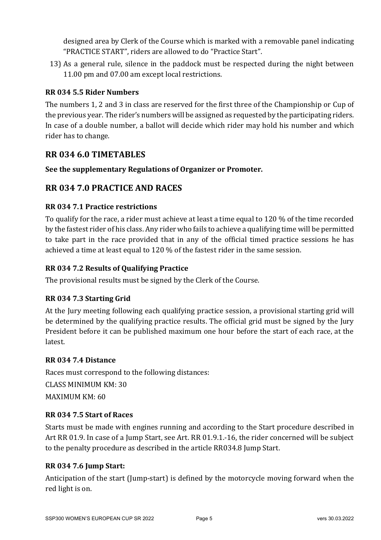designed area by Clerk of the Course which is marked with a removable panel indicating "PRACTICE START", riders are allowed to do "Practice Start".

13) As a general rule, silence in the paddock must be respected during the night between 11.00 pm and 07.00 am except local restrictions.

## **RR 034 5.5 Rider Numbers**

The numbers 1, 2 and 3 in class are reserved for the first three of the Championship or Cup of the previous year. The rider's numbers will be assigned as requested by the participating riders. In case of a double number, a ballot will decide which rider may hold his number and which rider has to change.

# **RR 034 6.0 TIMETABLES**

See the supplementary Regulations of Organizer or Promoter.

# **RR 034 7.0 PRACTICE AND RACES**

### **RR 034 7.1 Practice restrictions**

To qualify for the race, a rider must achieve at least a time equal to 120 % of the time recorded by the fastest rider of his class. Any rider who fails to achieve a qualifying time will be permitted to take part in the race provided that in any of the official timed practice sessions he has achieved a time at least equal to  $120\%$  of the fastest rider in the same session.

#### **RR 034 7.2 Results of Qualifying Practice**

The provisional results must be signed by the Clerk of the Course.

#### **RR 034 7.3 Starting Grid**

At the Jury meeting following each qualifying practice session, a provisional starting grid will be determined by the qualifying practice results. The official grid must be signed by the Jury President before it can be published maximum one hour before the start of each race, at the latest.

#### **RR 034 7.4 Distance**

Races must correspond to the following distances:

CLASS MINIMUM KM: 30

MAXIMUM KM: 60

### **RR 034 7.5 Start of Races**

Starts must be made with engines running and according to the Start procedure described in Art RR 01.9. In case of a Jump Start, see Art. RR 01.9.1.-16, the rider concerned will be subject to the penalty procedure as described in the article RR034.8 Jump Start.

#### **RR 034 7.6 Jump Start:**

Anticipation of the start (Jump-start) is defined by the motorcycle moving forward when the red light is on.